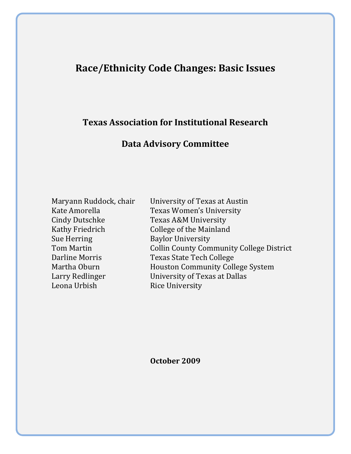# **Race/Ethnicity Code Changes: Basic Issues**

## **Texas Association for Institutional Research**

## **Data Advisory Committee**

| Maryann Ruddock, chai  |
|------------------------|
| Kate Amorella          |
| <b>Cindy Dutschke</b>  |
| <b>Kathy Friedrich</b> |
| <b>Sue Herring</b>     |
| <b>Tom Martin</b>      |
| Darline Morris         |
| Martha Oburn           |
| Larry Redlinger        |
| Leona Urbish           |

ir University of Texas at Austin Texas Women's University Texas A&M University College of the Mainland **Baylor University** Collin County Community College District Texas State Tech College Houston Community College System University of Texas at Dallas Rice University

**October 2009**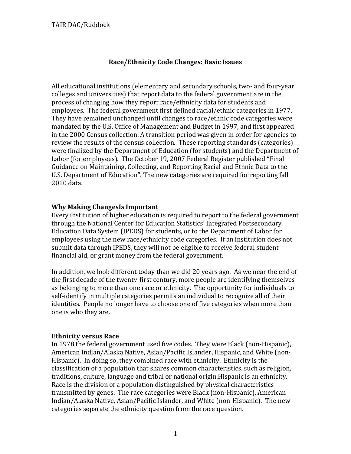## **Race/Ethnicity Code Changes: Basic Issues**

All educational institutions (elementary and secondary schools, two‐ and four‐year colleges and universities) that report data to the federal government are in the process of changing how they report race/ethnicity data for students and employees. The federal government first defined racial/ethnic categories in 1977. They have remained unchanged until changes to race/ethnic code categories were mandated by the U.S. Office of Management and Budget in 1997, and first appeared in the 2000 Census collection. A transition period was given in order for agencies to review the results of the census collection. These reporting standards (categories) were finalized by the Department of Education (for students) and the Department of Labor (for employees). The October 19, 2007 Federal Register published "Final Guidance on Maintaining, Collecting, and Reporting Racial and Ethnic Data to the U.S. Department of Education". The new categories are required for reporting fall 2010 data.

#### **Why Making ChangesIs Important**

Every institution of higher education is required to report to the federal government through the National Center for Education Statistics' Integrated Postsecondary Education Data System (IPEDS) for students, or to the Department of Labor for employees using the new race/ethnicity code categories. If an institution does not submit data through IPEDS, they will not be eligible to receive federal student financial aid, or grant money from the federal government.

In addition, we look different today than we did 20 years ago. As we near the end of the first decade of the twenty‐first century, more people are identifying themselves as belonging to more than one race or ethnicity. The opportunity for individuals to self-identify in multiple categories permits an individual to recognize all of their identities. People no longer have to choose one of five categories when more than one is who they are.

#### **Ethnicity versus Race**

In 1978 the federal government used five codes. They were Black (non-Hispanic), American Indian/Alaska Native, Asian/Pacific Islander, Hispanic, and White (non‐ Hispanic). In doing so, they combined race with ethnicity. Ethnicity is the classification of a population that shares common characteristics, such as religion, traditions, culture, language and tribal or national origin.Hispanic is an ethnicity. Race is the division of a population distinguished by physical characteristics transmitted by genes. The race categories were Black (non‐Hispanic), American Indian/Alaska Native, Asian/Pacific Islander, and White (non‐Hispanic). The new categories separate the ethnicity question from the race question.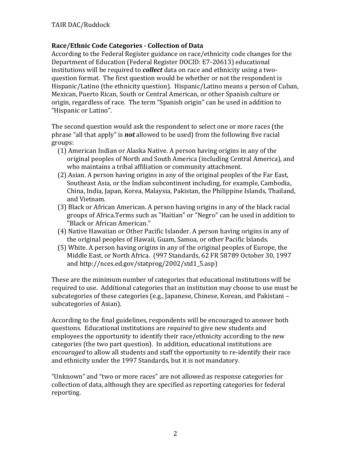## **Race/Ethnic Code Categories Collection of Data**

According to the Federal Register guidance on race/ethnicity code changes for the Department of Education (Federal Register DOCID: E7‐20613) educational institutions will be required to *collect* data on race and ethnicity using a two‐ question format. The first question would be whether or not the respondent is Hispanic/Latino (the ethnicity question). Hispanic/Latino means a person of Cuban, Mexican, Puerto Rican, South or Central American, or other Spanish culture or origin, regardless of race. The term "Spanish origin" can be used in addition to "Hispanic or Latino".

The second question would ask the respondent to select one or more races (the phrase "all that apply" is *not* allowed to be used) from the following five racial groups:

- (1) American Indian or Alaska Native. A person having origins in any of the original peoples of North and South America (including Central America), and who maintains a tribal affiliation or community attachment.
- (2) Asian. A person having origins in any of the original peoples of the Far East, Southeast Asia, or the Indian subcontinent including, for example, Cambodia, China, India, Japan, Korea, Malaysia, Pakistan, the Philippine Islands, Thailand, and Vietnam.
- (3) Black or African American. A person having origins in any of the black racial groups of Africa.Terms such as "Haitian" or "Negro" can be used in addition to "Black or African American."
- (4) Native Hawaiian or Other Pacific Islander. A person having origins in any of the original peoples of Hawaii, Guam, Samoa, or other Pacific Islands.
- (5) White. A person having origins in any of the original peoples of Europe, the Middle East, or North Africa. (997 Standards, 62 FR 58789 October 30, 1997 and http://nces.ed.gov/statprog/2002/std1\_5.asp)

These are the minimum number of categories that educational institutions will be required to use. Additional categories that an institution may choose to use must be subcategories of these categories (e.g., Japanese, Chinese, Korean, and Pakistani – subcategories of Asian).

According to the final guidelines, respondents will be encouraged to answer both questions. Educational institutions are *required* to give new students and employees the opportunity to identify their race/ethnicity according to the new categories (the two part question). In addition, educational institutions are *encouraged* to allow all students and staff the opportunity to re‐identify their race and ethnicity under the 1997 Standards, but it is not mandatory.

"Unknown" and "two or more races" are not allowed as response categories for collection of data, although they are specified as reporting categories for federal reporting.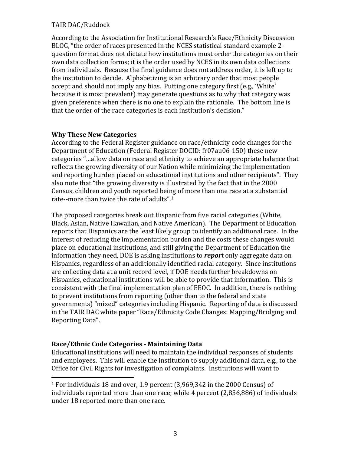According to the Association for Institutional Research's Race/Ethnicity Discussion BLOG, "the order of races presented in the NCES statistical standard example 2‐ question format does not dictate how institutions must order the categories on their own data collection forms; it is the order used by NCES in its own data collections from individuals. Because the final guidance does not address order, it is left up to the institution to decide. Alphabetizing is an arbitrary order that most people accept and should not imply any bias. Putting one category first (e.g., 'White' because it is most prevalent) may generate questions as to why that category was given preference when there is no one to explain the rationale. The bottom line is that the order of the race categories is each institution's decision."

#### **Why These New Categories**

According to the Federal Register guidance on race/ethnicity code changes for the Department of Education (Federal Register DOCID: fr07au06‐150) these new categories "…allow data on race and ethnicity to achieve an appropriate balance that reflects the growing diversity of our Nation while minimizing the implementation and reporting burden placed on educational institutions and other recipients". They also note that "the growing diversity is illustrated by the fact that in the 2000 Census, children and youth reported being of more than one race at a substantial rate--more than twice the rate of adults".<sup>1</sup>

The proposed categories break out Hispanic from five racial categories (White, Black, Asian, Native Hawaiian, and Native American). The Department of Education reports that Hispanics are the least likely group to identify an additional race. In the interest of reducing the implementation burden and the costs these changes would place on educational institutions, and still giving the Department of Education the information they need, DOE is asking institutions to *repor*t only aggregate data on Hispanics, regardless of an additionally identified racial category. Since institutions are collecting data at a unit record level, if DOE needs further breakdowns on Hispanics, educational institutions will be able to provide that information. This is consistent with the final implementation plan of EEOC. In addition, there is nothing to prevent institutions from reporting (other than to the federal and state governments) "mixed" categories including Hispanic. Reporting of data is discussed in the TAIR DAC white paper "Race/Ethnicity Code Changes: Mapping/Bridging and Reporting Data".

## **Race/Ethnic Code Categories Maintaining Data**

Educational institutions will need to maintain the individual responses of students and employees. This will enable the institution to supply additional data, e.g., to the Office for Civil Rights for investigation of complaints. Institutions will want to

<sup>1</sup> For individuals 18 and over, 1.9 percent (3,969,342 in the 2000 Census) of individuals reported more than one race; while 4 percent (2,856,886) of individuals under 18 reported more than one race.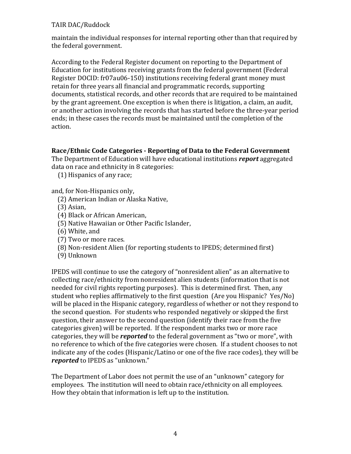maintain the individual responses for internal reporting other than that required by the federal government.

According to the Federal Register document on reporting to the Department of Education for institutions receiving grants from the federal government (Federal Register DOCID: fr07au06‐150) institutions receiving federal grant money must retain for three years all financial and programmatic records, supporting documents, statistical records, and other records that are required to be maintained by the grant agreement. One exception is when there is litigation, a claim, an audit, or another action involving the records that has started before the three‐year period ends; in these cases the records must be maintained until the completion of the action.

#### **Race/Ethnic Code Categories Reporting of Data to the Federal Government**

The Department of Education will have educational institutions *report* aggregated data on race and ethnicity in 8 categories:

(1) Hispanics of any race;

and, for Non‐Hispanics only,

- (2) American Indian or Alaska Native,
- (3) Asian,
- (4) Black or African American,
- (5) Native Hawaiian or Other Pacific Islander,
- (6) White, and
- (7) Two or more races.
- (8) Non‐resident Alien (for reporting students to IPEDS; determined first)
- (9) Unknown

IPEDS will continue to use the category of "nonresident alien" as an alternative to collecting race/ethnicity from nonresident alien students (information that is not needed for civil rights reporting purposes). This is determined first. Then, any student who replies affirmatively to the first question (Are you Hispanic? Yes/No) will be placed in the Hispanic category, regardless of whether or not they respond to the second question. For students who responded negatively or skipped the first question, their answer to the second question (identify their race from the five categories given) will be reported. If the respondent marks two or more race categories, they will be *reported* to the federal government as "two or more", with no reference to which of the five categories were chosen. If a student chooses to not indicate any of the codes (Hispanic/Latino or one of the five race codes), they will be *reported* to IPEDS as "unknown."

The Department of Labor does not permit the use of an "unknown" category for employees. The institution will need to obtain race/ethnicity on all employees. How they obtain that information is left up to the institution.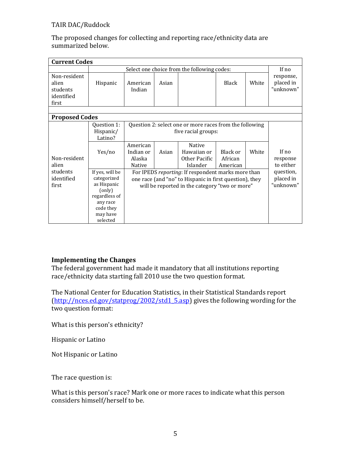| The proposed changes for collecting and reporting race/ethnicity data are |
|---------------------------------------------------------------------------|
| summarized below.                                                         |

| <b>Current Codes</b>                            |                                                                                                                           |                                                                                                                                                                 |       |                                                    |                                 |       |                                     |  |
|-------------------------------------------------|---------------------------------------------------------------------------------------------------------------------------|-----------------------------------------------------------------------------------------------------------------------------------------------------------------|-------|----------------------------------------------------|---------------------------------|-------|-------------------------------------|--|
|                                                 |                                                                                                                           | Select one choice from the following codes:                                                                                                                     |       |                                                    |                                 |       | If no                               |  |
| Non-resident<br>alien<br>students<br>identified | Hispanic                                                                                                                  | American<br>Indian                                                                                                                                              | Asian |                                                    | Black                           | White | response,<br>placed in<br>"unknown" |  |
| first                                           |                                                                                                                           |                                                                                                                                                                 |       |                                                    |                                 |       |                                     |  |
|                                                 |                                                                                                                           |                                                                                                                                                                 |       |                                                    |                                 |       |                                     |  |
| <b>Proposed Codes</b>                           |                                                                                                                           |                                                                                                                                                                 |       |                                                    |                                 |       |                                     |  |
|                                                 | Question 1:<br>Hispanic/<br>Latino?                                                                                       | Question 2: select one or more races from the following<br>five racial groups:                                                                                  |       |                                                    |                                 |       |                                     |  |
| Non-resident<br>alien                           | Yes/no                                                                                                                    | American<br>Indian or<br>Alaska<br>Native                                                                                                                       | Asian | Native<br>Hawaiian or<br>Other Pacific<br>Islander | Black or<br>African<br>American | White | If no<br>response<br>to either      |  |
| students<br>identified<br>first                 | If yes, will be<br>categorized<br>as Hispanic<br>(only)<br>regardless of<br>any race<br>code they<br>may have<br>selected | For IPEDS reporting: If respondent marks more than<br>one race (and "no" to Hispanic in first question), they<br>will be reported in the category "two or more" |       |                                                    |                                 |       | question,<br>placed in<br>"unknown" |  |

## **Implementing the Changes**

The federal government had made it mandatory that all institutions reporting race/ethnicity data starting fall 2010 use the two question format.

The National Center for Education Statistics, in their Statistical Standards report (http://nces.ed.gov/statprog/2002/std1\_5.asp) gives the following wording for the two question format:

What is this person's ethnicity?

Hispanic or Latino

Not Hispanic or Latino

The race question is:

What is this person's race? Mark one or more races to indicate what this person considers himself/herself to be.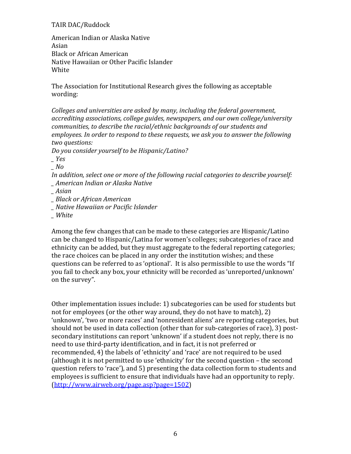American Indian or Alaska Native Asian Black or African American Native Hawaiian or Other Pacific Islander White

The Association for Institutional Research gives the following as acceptable wording:

*Colleges and universities are asked by many, including the federal government, accrediting associations, college guides, newspapers, and our own college/university communities, to describe the racial/ethnic backgrounds of our students and employees. In order to respond to these requests, we ask you to answer the following two questions:* 

*Do you consider yourself to be Hispanic/Latino?*

*\_ Yes*

*\_ No* 

*In addition, select one or more of the following racial categories to describe yourself: \_ American Indian or Alaska Native*

*\_ Asian*

*\_ Black or African American*

*\_ Native Hawaiian or Pacific Islander*

*\_ White*

Among the few changes that can be made to these categories are Hispanic/Latino can be changed to Hispanic/Latina for women's colleges; subcategories of race and ethnicity can be added, but they must aggregate to the federal reporting categories; the race choices can be placed in any order the institution wishes; and these questions can be referred to as 'optional'. It is also permissible to use the words "If you fail to check any box, your ethnicity will be recorded as 'unreported/unknown' on the survey".

Other implementation issues include: 1) subcategories can be used for students but not for employees (or the other way around, they do not have to match), 2) 'unknown', 'two or more races' and 'nonresident aliens' are reporting categories, but should not be used in data collection (other than for sub‐categories of race), 3) post‐ secondary institutions can report 'unknown' if a student does not reply, there is no need to use third‐party identification, and in fact, it is not preferred or recommended, 4) the labels of 'ethnicity' and 'race' are not required to be used (although it is not permitted to use 'ethnicity' for the second question – the second question refers to 'race'), and 5) presenting the data collection form to students and employees is sufficient to ensure that individuals have had an opportunity to reply. (http://www.airweb.org/page.asp?page=1502)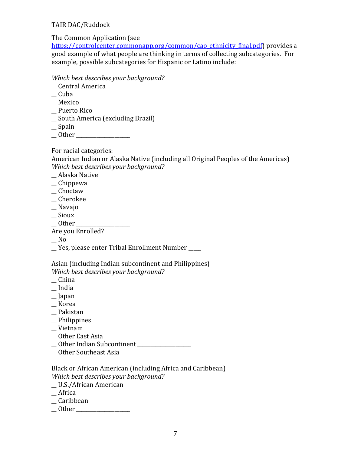The Common Application (see

https://controlcenter.commonapp.org/common/cao\_ethnicity\_final.pdf) provides a good example of what people are thinking in terms of collecting subcategories. For example, possible subcategories for Hispanic or Latino include:

#### *Which best describes your background?*

- \_\_ Central America
- $\equiv$  Cuba
- \_\_ Mexico
- \_\_ Puerto Rico
- \_\_ South America (excluding Brazil)
- \_\_ Spain
- \_\_ Other \_\_\_\_\_\_\_\_\_\_\_\_\_\_\_\_\_\_\_\_\_

For racial categories:

American Indian or Alaska Native (including all Original Peoples of the Americas) *Which best describes your background?*

\_\_ Alaska Native

- \_\_ Chippewa
- \_\_ Choctaw
- \_\_ Cherokee
- \_\_ Navajo
- \_\_ Sioux
- $-$  Other  $-$

Are you Enrolled?

 $\overline{\phantom{0}}$  No

\_\_ Yes, please enter Tribal Enrollment Number \_\_\_\_\_

#### Asian (including Indian subcontinent and Philippines) *Which best describes your background?*

- \_\_ China
- \_\_ India
- \_\_ Japan
- \_\_ Korea
- \_\_ Pakistan
- \_\_ Philippines
- \_\_ Vietnam
- \_\_ Other East Asia\_\_\_\_\_\_\_\_\_\_\_\_\_\_\_\_\_\_\_\_\_
- \_Other Indian Subcontinent \_\_\_\_\_\_\_\_\_\_\_\_\_
- \_\_ Other Southeast Asia \_\_\_\_\_\_\_\_\_\_\_\_\_\_\_\_\_\_\_\_\_

#### Black or African American (including Africa and Caribbean) *Which best describes your background?*

- \_\_ U.S./African American
- \_\_ Africa
- \_\_ Caribbean
- \_\_ Other \_\_\_\_\_\_\_\_\_\_\_\_\_\_\_\_\_\_\_\_\_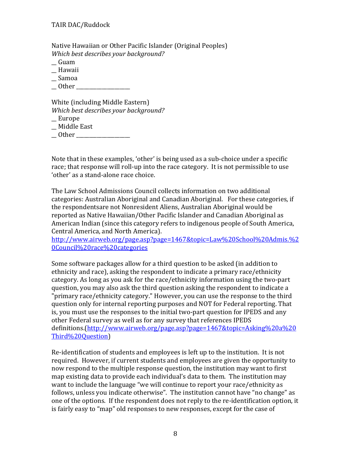Native Hawaiian or Other Pacific Islander (Original Peoples) *Which best describes your background?*

- \_\_ Guam
- \_\_ Hawaii
- \_\_ Samoa
- $\Box$  Other  $\Box$

White (including Middle Eastern) *Which best describes your background?*

- \_\_ Europe
- \_\_ Middle East
- \_\_ Other \_\_\_\_\_\_\_\_\_\_\_\_\_\_\_\_\_\_\_\_\_

Note that in these examples, 'other' is being used as a sub‐choice under a specific race; that response will roll-up into the race category. It is not permissible to use 'other' as a stand‐alone race choice.

The Law School Admissions Council collects information on two additional categories: Australian Aboriginal and Canadian Aboriginal. For these categories, if the respondentsare not Nonresident Aliens, Australian Aboriginal would be reported as Native Hawaiian/Other Pacific Islander and Canadian Aboriginal as American Indian (since this category refers to indigenous people of South America, Central America, and North America).

http://www.airweb.org/page.asp?page=1467&topic=Law%20School%20Admis.%2 0Council%20race%20categories

Some software packages allow for a third question to be asked (in addition to ethnicity and race), asking the respondent to indicate a primary race/ethnicity category. As long as you ask for the race/ethnicity information using the two-part question, you may also ask the third question asking the respondent to indicate a "primary race/ethnicity category." However, you can use the response to the third question only for internal reporting purposes and NOT for Federal reporting. That is, you must use the responses to the initial two-part question for IPEDS and any other Federal survey as well as for any survey that references IPEDS definitions.(http://www.airweb.org/page.asp?page=1467&topic=Asking%20a%20 Third%20Question)

Re‐identification of students and employees is left up to the institution. It is not required. However, if current students and employees are given the opportunity to now respond to the multiple response question, the institution may want to first map existing data to provide each individual's data to them. The institution may want to include the language "we will continue to report your race/ethnicity as follows, unless you indicate otherwise". The institution cannot have "no change" as one of the options. If the respondent does not reply to the re‐identification option, it is fairly easy to "map" old responses to new responses, except for the case of